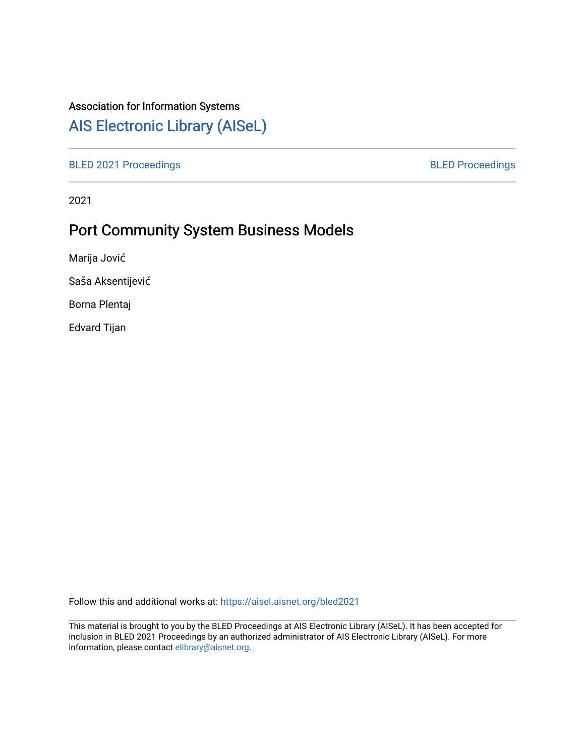# Association for Information Systems

# [AIS Electronic Library \(AISeL\)](https://aisel.aisnet.org/)

[BLED 2021 Proceedings](https://aisel.aisnet.org/bled2021) **BLED Proceedings** 

2021

# Port Community System Business Models

Marija Jović

Saša Aksentijević

Borna Plentaj

Edvard Tijan

Follow this and additional works at: [https://aisel.aisnet.org/bled2021](https://aisel.aisnet.org/bled2021?utm_source=aisel.aisnet.org%2Fbled2021%2F16&utm_medium=PDF&utm_campaign=PDFCoverPages) 

This material is brought to you by the BLED Proceedings at AIS Electronic Library (AISeL). It has been accepted for inclusion in BLED 2021 Proceedings by an authorized administrator of AIS Electronic Library (AISeL). For more information, please contact [elibrary@aisnet.org.](mailto:elibrary@aisnet.org%3E)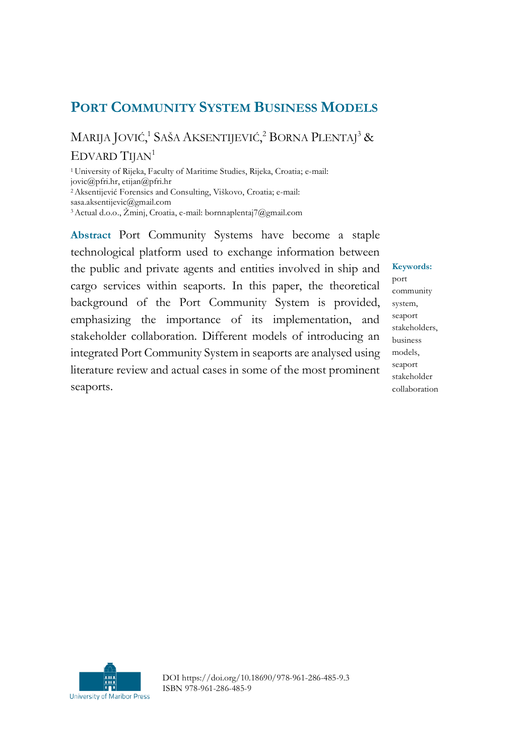# **PORT COMMUNITY SYSTEM BUSINESS MODELS**

MARIJA JOVIĆ,<sup>1</sup> SAŠA AKSENTIJEVIĆ,<sup>2</sup> BORNA PLENTAJ<sup>3</sup> & EDVARD TIJAN<sup>1</sup>

<sup>1</sup>University of Rijeka, Faculty of Maritime Studies, Rijeka, Croatia; e-mail: jovic@pfri.hr, etijan@pfri.hr <sup>2</sup>Aksentijević Forensics and Consulting, Viškovo, Croatia; e-mail: sasa.aksentijevic@gmail.com <sup>3</sup>Actual d.o.o., Žminj, Croatia, e-mail: bornnaplentaj7@gmail.com

**Abstract** Port Community Systems have become a staple technological platform used to exchange information between the public and private agents and entities involved in ship and cargo services within seaports. In this paper, the theoretical background of the Port Community System is provided, emphasizing the importance of its implementation, and stakeholder collaboration. Different models of introducing an integrated Port Community System in seaports are analysed using literature review and actual cases in some of the most prominent seaports.

## **Keywords:**

port community system, seaport stakeholders, business models, seaport stakeholder collaboration



DOI https://doi.org/10.18690/978-961-286-485-9.3 ISBN 978-961-286-485-9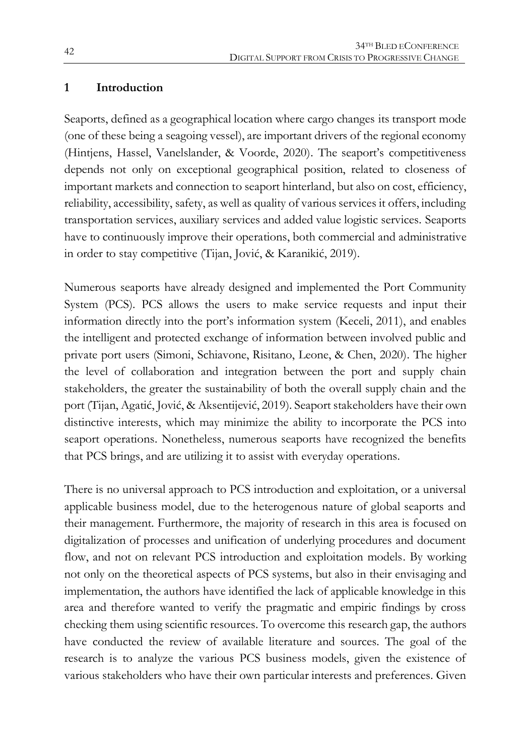#### **1 Introduction**

Seaports, defined as a geographical location where cargo changes its transport mode (one of these being a seagoing vessel), are important drivers of the regional economy (Hintjens, Hassel, Vanelslander, & Voorde, 2020). The seaport's competitiveness depends not only on exceptional geographical position, related to closeness of important markets and connection to seaport hinterland, but also on cost, efficiency, reliability, accessibility, safety, as well as quality of various services it offers, including transportation services, auxiliary services and added value logistic services. Seaports have to continuously improve their operations, both commercial and administrative in order to stay competitive (Tijan, Jović, & Karanikić, 2019).

Numerous seaports have already designed and implemented the Port Community System (PCS). PCS allows the users to make service requests and input their information directly into the port's information system (Keceli, 2011), and enables the intelligent and protected exchange of information between involved public and private port users (Simoni, Schiavone, Risitano, Leone, & Chen, 2020). The higher the level of collaboration and integration between the port and supply chain stakeholders, the greater the sustainability of both the overall supply chain and the port (Tijan, Agatić, Jović, & Aksentijević, 2019). Seaport stakeholders have their own distinctive interests, which may minimize the ability to incorporate the PCS into seaport operations. Nonetheless, numerous seaports have recognized the benefits that PCS brings, and are utilizing it to assist with everyday operations.

There is no universal approach to PCS introduction and exploitation, or a universal applicable business model, due to the heterogenous nature of global seaports and their management. Furthermore, the majority of research in this area is focused on digitalization of processes and unification of underlying procedures and document flow, and not on relevant PCS introduction and exploitation models. By working not only on the theoretical aspects of PCS systems, but also in their envisaging and implementation, the authors have identified the lack of applicable knowledge in this area and therefore wanted to verify the pragmatic and empiric findings by cross checking them using scientific resources. To overcome this research gap, the authors have conducted the review of available literature and sources. The goal of the research is to analyze the various PCS business models, given the existence of various stakeholders who have their own particular interests and preferences. Given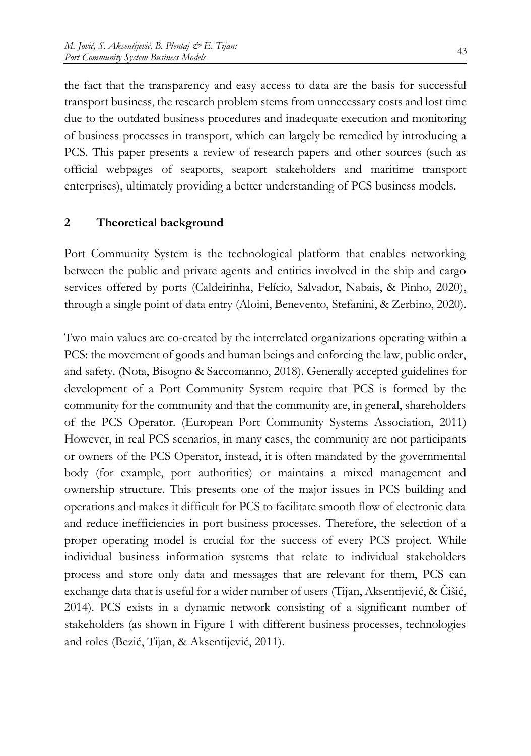the fact that the transparency and easy access to data are the basis for successful transport business, the research problem stems from unnecessary costs and lost time due to the outdated business procedures and inadequate execution and monitoring of business processes in transport, which can largely be remedied by introducing a PCS. This paper presents a review of research papers and other sources (such as official webpages of seaports, seaport stakeholders and maritime transport enterprises), ultimately providing a better understanding of PCS business models.

#### **2 Theoretical background**

Port Community System is the technological platform that enables networking between the public and private agents and entities involved in the ship and cargo services offered by ports (Caldeirinha, Felício, Salvador, Nabais, & Pinho, 2020), through a single point of data entry (Aloini, Benevento, Stefanini, & Zerbino, 2020).

Two main values are co-created by the interrelated organizations operating within a PCS: the movement of goods and human beings and enforcing the law, public order, and safety. (Nota, Bisogno & Saccomanno, 2018). Generally accepted guidelines for development of a Port Community System require that PCS is formed by the community for the community and that the community are, in general, shareholders of the PCS Operator. (European Port Community Systems Association, 2011) However, in real PCS scenarios, in many cases, the community are not participants or owners of the PCS Operator, instead, it is often mandated by the governmental body (for example, port authorities) or maintains a mixed management and ownership structure. This presents one of the major issues in PCS building and operations and makes it difficult for PCS to facilitate smooth flow of electronic data and reduce inefficiencies in port business processes. Therefore, the selection of a proper operating model is crucial for the success of every PCS project. While individual business information systems that relate to individual stakeholders process and store only data and messages that are relevant for them, PCS can exchange data that is useful for a wider number of users (Tijan, Aksentijević, & Čišić, 2014). PCS exists in a dynamic network consisting of a significant number of stakeholders (as shown in Figure 1 with different business processes, technologies and roles (Bezić, Tijan, & Aksentijević, 2011).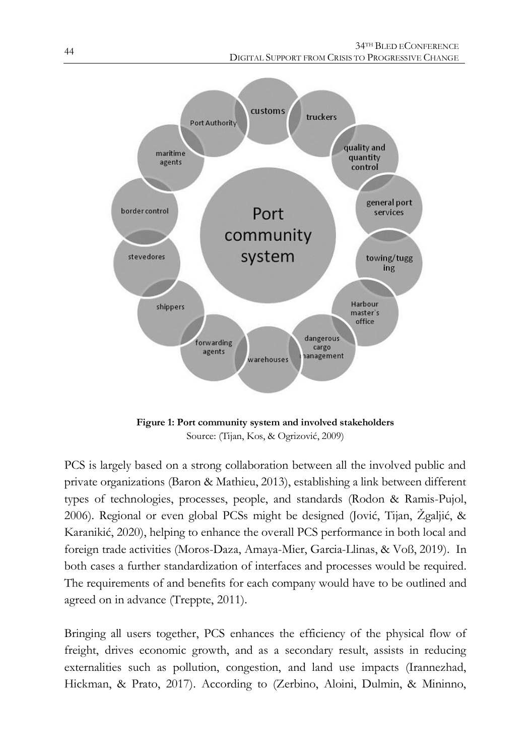

**Figure 1: Port community system and involved stakeholders** Source: (Tijan, Kos, & Ogrizović, 2009)

PCS is largely based on a strong collaboration between all the involved public and private organizations (Baron & Mathieu, 2013), establishing a link between different types of technologies, processes, people, and standards (Rodon & Ramis-Pujol, 2006). Regional or even global PCSs might be designed (Jović, Tijan, Žgaljić, & Karanikić, 2020), helping to enhance the overall PCS performance in both local and foreign trade activities (Moros-Daza, Amaya-Mier, Garcia-Llinas, & Voß, 2019). In both cases a further standardization of interfaces and processes would be required. The requirements of and benefits for each company would have to be outlined and agreed on in advance (Treppte, 2011).

Bringing all users together, PCS enhances the efficiency of the physical flow of freight, drives economic growth, and as a secondary result, assists in reducing externalities such as pollution, congestion, and land use impacts (Irannezhad, Hickman, & Prato, 2017). According to (Zerbino, Aloini, Dulmin, & Mininno,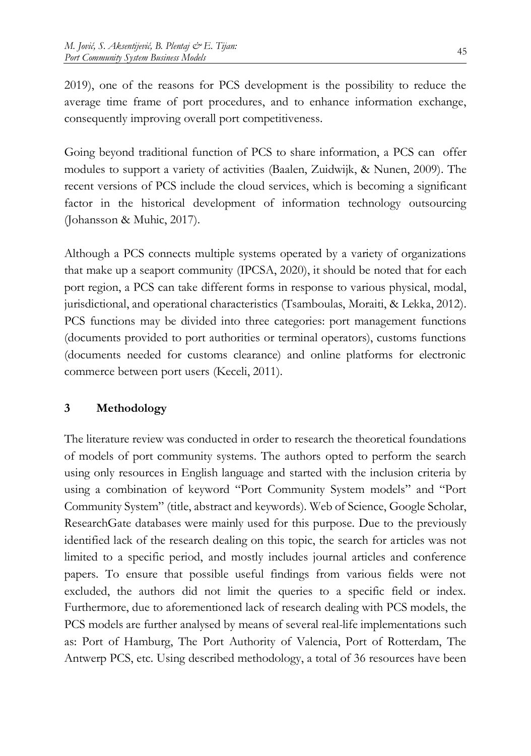2019), one of the reasons for PCS development is the possibility to reduce the average time frame of port procedures, and to enhance information exchange, consequently improving overall port competitiveness.

Going beyond traditional function of PCS to share information, a PCS can offer modules to support a variety of activities (Baalen, Zuidwijk, & Nunen, 2009). The recent versions of PCS include the cloud services, which is becoming a significant factor in the historical development of information technology outsourcing (Johansson & Muhic, 2017).

Although a PCS connects multiple systems operated by a variety of organizations that make up a seaport community (IPCSA, 2020), it should be noted that for each port region, a PCS can take different forms in response to various physical, modal, jurisdictional, and operational characteristics (Tsamboulas, Moraiti, & Lekka, 2012). PCS functions may be divided into three categories: port management functions (documents provided to port authorities or terminal operators), customs functions (documents needed for customs clearance) and online platforms for electronic commerce between port users (Keceli, 2011).

# **3 Methodology**

The literature review was conducted in order to research the theoretical foundations of models of port community systems. The authors opted to perform the search using only resources in English language and started with the inclusion criteria by using a combination of keyword "Port Community System models" and "Port Community System" (title, abstract and keywords). Web of Science, Google Scholar, ResearchGate databases were mainly used for this purpose. Due to the previously identified lack of the research dealing on this topic, the search for articles was not limited to a specific period, and mostly includes journal articles and conference papers. To ensure that possible useful findings from various fields were not excluded, the authors did not limit the queries to a specific field or index. Furthermore, due to aforementioned lack of research dealing with PCS models, the PCS models are further analysed by means of several real-life implementations such as: Port of Hamburg, The Port Authority of Valencia, Port of Rotterdam, The Antwerp PCS, etc. Using described methodology, a total of 36 resources have been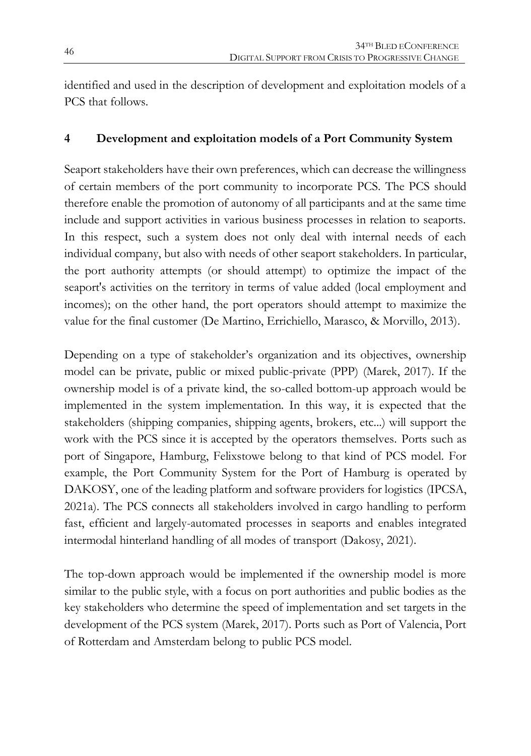identified and used in the description of development and exploitation models of a PCS that follows.

# **4 Development and exploitation models of a Port Community System**

Seaport stakeholders have their own preferences, which can decrease the willingness of certain members of the port community to incorporate PCS. The PCS should therefore enable the promotion of autonomy of all participants and at the same time include and support activities in various business processes in relation to seaports. In this respect, such a system does not only deal with internal needs of each individual company, but also with needs of other seaport stakeholders. In particular, the port authority attempts (or should attempt) to optimize the impact of the seaport's activities on the territory in terms of value added (local employment and incomes); on the other hand, the port operators should attempt to maximize the value for the final customer (De Martino, Errichiello, Marasco, & Morvillo, 2013).

Depending on a type of stakeholder's organization and its objectives, ownership model can be private, public or mixed public-private (PPP) (Marek, 2017). If the ownership model is of a private kind, the so-called bottom-up approach would be implemented in the system implementation. In this way, it is expected that the stakeholders (shipping companies, shipping agents, brokers, etc...) will support the work with the PCS since it is accepted by the operators themselves. Ports such as port of Singapore, Hamburg, Felixstowe belong to that kind of PCS model. For example, the Port Community System for the Port of Hamburg is operated by DAKOSY, one of the leading platform and software providers for logistics (IPCSA, 2021a). The PCS connects all stakeholders involved in cargo handling to perform fast, efficient and largely-automated processes in seaports and enables integrated intermodal hinterland handling of all modes of transport (Dakosy, 2021).

The top-down approach would be implemented if the ownership model is more similar to the public style, with a focus on port authorities and public bodies as the key stakeholders who determine the speed of implementation and set targets in the development of the PCS system (Marek, 2017). Ports such as Port of Valencia, Port of Rotterdam and Amsterdam belong to public PCS model.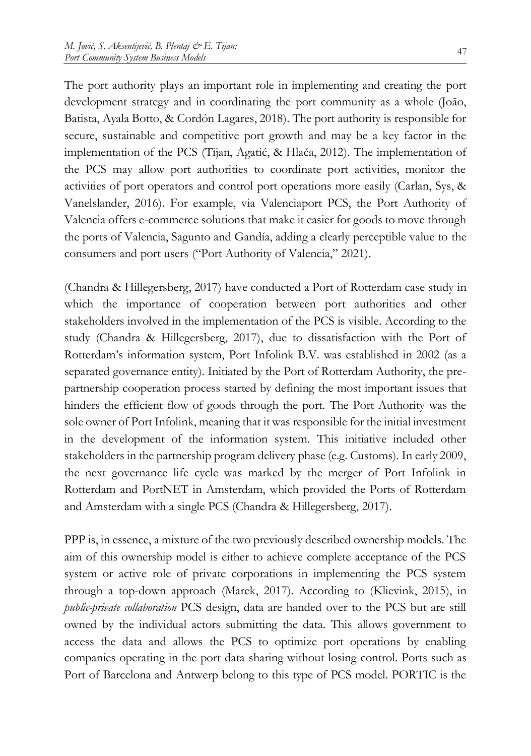The port authority plays an important role in implementing and creating the port development strategy and in coordinating the port community as a whole (João, Batista, Ayala Botto, & Cordón Lagares, 2018). The port authority is responsible for secure, sustainable and competitive port growth and may be a key factor in the implementation of the PCS (Tijan, Agatić, & Hlača, 2012). The implementation of the PCS may allow port authorities to coordinate port activities, monitor the activities of port operators and control port operations more easily (Carlan, Sys, & Vanelslander, 2016). For example, via Valenciaport PCS, the Port Authority of Valencia offers e-commerce solutions that make it easier for goods to move through the ports of Valencia, Sagunto and Gandía, adding a clearly perceptible value to the consumers and port users ("Port Authority of Valencia," 2021).

(Chandra & Hillegersberg, 2017) have conducted a Port of Rotterdam case study in which the importance of cooperation between port authorities and other stakeholders involved in the implementation of the PCS is visible. According to the study (Chandra & Hillegersberg, 2017), due to dissatisfaction with the Port of Rotterdam's information system, Port Infolink B.V. was established in 2002 (as a separated governance entity). Initiated by the Port of Rotterdam Authority, the prepartnership cooperation process started by defining the most important issues that hinders the efficient flow of goods through the port. The Port Authority was the sole owner of Port Infolink, meaning that it was responsible for the initial investment in the development of the information system. This initiative included other stakeholders in the partnership program delivery phase (e.g. Customs). In early 2009, the next governance life cycle was marked by the merger of Port Infolink in Rotterdam and PortNET in Amsterdam, which provided the Ports of Rotterdam and Amsterdam with a single PCS (Chandra & Hillegersberg, 2017).

PPP is, in essence, a mixture of the two previously described ownership models. The aim of this ownership model is either to achieve complete acceptance of the PCS system or active role of private corporations in implementing the PCS system through a top-down approach (Marek, 2017). According to (Klievink, 2015), in *public-private collaboration* PCS design, data are handed over to the PCS but are still owned by the individual actors submitting the data. This allows government to access the data and allows the PCS to optimize port operations by enabling companies operating in the port data sharing without losing control. Ports such as Port of Barcelona and Antwerp belong to this type of PCS model. PORTIC is the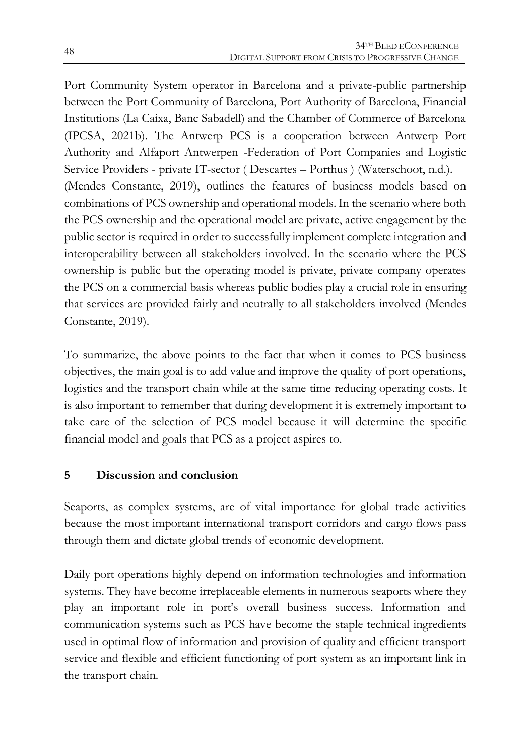Port Community System operator in Barcelona and a private-public partnership between the Port Community of Barcelona, Port Authority of Barcelona, Financial Institutions (La Caixa, Banc Sabadell) and the Chamber of Commerce of Barcelona (IPCSA, 2021b). The Antwerp PCS is a cooperation between Antwerp Port Authority and Alfaport Antwerpen -Federation of Port Companies and Logistic Service Providers - private IT-sector ( Descartes – Porthus ) (Waterschoot, n.d.). (Mendes Constante, 2019), outlines the features of business models based on combinations of PCS ownership and operational models. In the scenario where both the PCS ownership and the operational model are private, active engagement by the public sector is required in order to successfully implement complete integration and interoperability between all stakeholders involved. In the scenario where the PCS ownership is public but the operating model is private, private company operates the PCS on a commercial basis whereas public bodies play a crucial role in ensuring that services are provided fairly and neutrally to all stakeholders involved (Mendes Constante, 2019).

To summarize, the above points to the fact that when it comes to PCS business objectives, the main goal is to add value and improve the quality of port operations, logistics and the transport chain while at the same time reducing operating costs. It is also important to remember that during development it is extremely important to take care of the selection of PCS model because it will determine the specific financial model and goals that PCS as a project aspires to.

### **5 Discussion and conclusion**

Seaports, as complex systems, are of vital importance for global trade activities because the most important international transport corridors and cargo flows pass through them and dictate global trends of economic development.

Daily port operations highly depend on information technologies and information systems. They have become irreplaceable elements in numerous seaports where they play an important role in port's overall business success. Information and communication systems such as PCS have become the staple technical ingredients used in optimal flow of information and provision of quality and efficient transport service and flexible and efficient functioning of port system as an important link in the transport chain.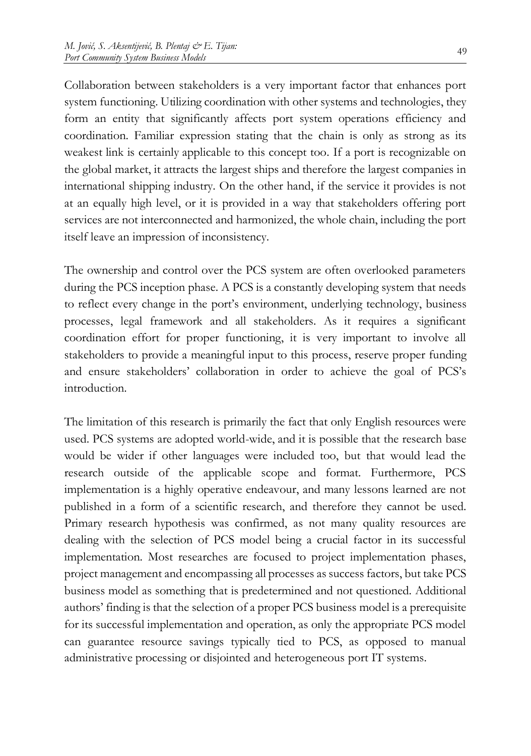Collaboration between stakeholders is a very important factor that enhances port system functioning. Utilizing coordination with other systems and technologies, they form an entity that significantly affects port system operations efficiency and coordination. Familiar expression stating that the chain is only as strong as its weakest link is certainly applicable to this concept too. If a port is recognizable on the global market, it attracts the largest ships and therefore the largest companies in international shipping industry. On the other hand, if the service it provides is not at an equally high level, or it is provided in a way that stakeholders offering port services are not interconnected and harmonized, the whole chain, including the port itself leave an impression of inconsistency.

The ownership and control over the PCS system are often overlooked parameters during the PCS inception phase. A PCS is a constantly developing system that needs to reflect every change in the port's environment, underlying technology, business processes, legal framework and all stakeholders. As it requires a significant coordination effort for proper functioning, it is very important to involve all stakeholders to provide a meaningful input to this process, reserve proper funding and ensure stakeholders' collaboration in order to achieve the goal of PCS's introduction.

The limitation of this research is primarily the fact that only English resources were used. PCS systems are adopted world-wide, and it is possible that the research base would be wider if other languages were included too, but that would lead the research outside of the applicable scope and format. Furthermore, PCS implementation is a highly operative endeavour, and many lessons learned are not published in a form of a scientific research, and therefore they cannot be used. Primary research hypothesis was confirmed, as not many quality resources are dealing with the selection of PCS model being a crucial factor in its successful implementation. Most researches are focused to project implementation phases, project management and encompassing all processes as success factors, but take PCS business model as something that is predetermined and not questioned. Additional authors' finding is that the selection of a proper PCS business model is a prerequisite for its successful implementation and operation, as only the appropriate PCS model can guarantee resource savings typically tied to PCS, as opposed to manual administrative processing or disjointed and heterogeneous port IT systems.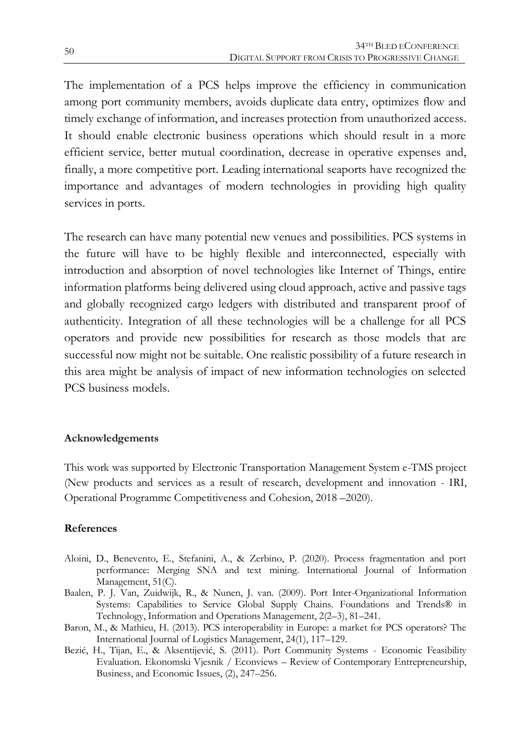The implementation of a PCS helps improve the efficiency in communication among port community members, avoids duplicate data entry, optimizes flow and timely exchange of information, and increases protection from unauthorized access. It should enable electronic business operations which should result in a more efficient service, better mutual coordination, decrease in operative expenses and, finally, a more competitive port. Leading international seaports have recognized the importance and advantages of modern technologies in providing high quality services in ports.

The research can have many potential new venues and possibilities. PCS systems in the future will have to be highly flexible and interconnected, especially with introduction and absorption of novel technologies like Internet of Things, entire information platforms being delivered using cloud approach, active and passive tags and globally recognized cargo ledgers with distributed and transparent proof of authenticity. Integration of all these technologies will be a challenge for all PCS operators and provide new possibilities for research as those models that are successful now might not be suitable. One realistic possibility of a future research in this area might be analysis of impact of new information technologies on selected PCS business models.

#### **Acknowledgements**

This work was supported by Electronic Transportation Management System e-TMS project (New products and services as a result of research, development and innovation - IRI, Operational Programme Competitiveness and Cohesion, 2018 –2020).

#### **References**

- Aloini, D., Benevento, E., Stefanini, A., & Zerbino, P. (2020). Process fragmentation and port performance: Merging SNA and text mining. International Journal of Information Management, 51(C).
- Baalen, P. J. Van, Zuidwijk, R., & Nunen, J. van. (2009). Port Inter-Organizational Information Systems: Capabilities to Service Global Supply Chains. Foundations and Trends® in Technology, Information and Operations Management, 2(2–3), 81–241.
- Baron, M., & Mathieu, H. (2013). PCS interoperability in Europe: a market for PCS operators? The International Journal of Logistics Management, 24(1), 117–129.
- Bezić, H., Tijan, E., & Aksentijević, S. (2011). Port Community Systems Economic Feasibility Evaluation. Ekonomski Vjesnik / Econviews – Review of Contemporary Entrepreneurship, Business, and Economic Issues, (2), 247–256.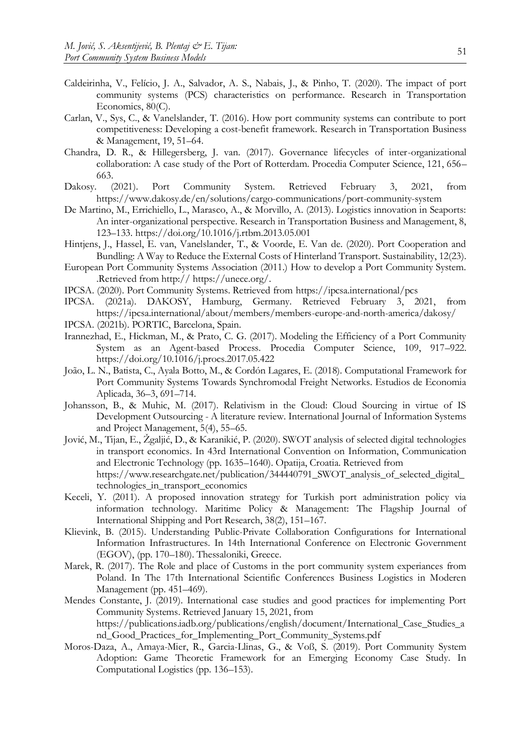- Caldeirinha, V., Felício, J. A., Salvador, A. S., Nabais, J., & Pinho, T. (2020). The impact of port community systems (PCS) characteristics on performance. Research in Transportation Economics, 80(C).
- Carlan, V., Sys, C., & Vanelslander, T. (2016). How port community systems can contribute to port competitiveness: Developing a cost-benefit framework. Research in Transportation Business & Management, 19, 51–64.
- Chandra, D. R., & Hillegersberg, J. van. (2017). Governance lifecycles of inter-organizational collaboration: A case study of the Port of Rotterdam. Procedia Computer Science, 121, 656– 663.
- Dakosy. (2021). Port Community System. Retrieved February 3, 2021, from https://www.dakosy.de/en/solutions/cargo-communications/port-community-system
- De Martino, M., Errichiello, L., Marasco, A., & Morvillo, A. (2013). Logistics innovation in Seaports: An inter-organizational perspective. Research in Transportation Business and Management, 8, 123–133. https://doi.org/10.1016/j.rtbm.2013.05.001
- Hintjens, J., Hassel, E. van, Vanelslander, T., & Voorde, E. Van de. (2020). Port Cooperation and Bundling: A Way to Reduce the External Costs of Hinterland Transport. Sustainability, 12(23).
- European Port Community Systems Association (2011.) How to develop a Port Community System. .Retrieved from http:// https://unece.org/.
- IPCSA. (2020). Port Community Systems. Retrieved from https://ipcsa.international/pcs
- IPCSA. (2021a). DAKOSY, Hamburg, Germany. Retrieved February 3, 2021, from https://ipcsa.international/about/members/members-europe-and-north-america/dakosy/
- IPCSA. (2021b). PORTIC, Barcelona, Spain.
- Irannezhad, E., Hickman, M., & Prato, C. G. (2017). Modeling the Efficiency of a Port Community System as an Agent-based Process. Procedia Computer Science, 109, 917–922. https://doi.org/10.1016/j.procs.2017.05.422
- João, L. N., Batista, C., Ayala Botto, M., & Cordón Lagares, E. (2018). Computational Framework for Port Community Systems Towards Synchromodal Freight Networks. Estudios de Economia Aplicada, 36–3, 691–714.
- Johansson, B., & Muhic, M. (2017). Relativism in the Cloud: Cloud Sourcing in virtue of IS Development Outsourcing - A literature review. International Journal of Information Systems and Project Management, 5(4), 55–65.
- Jović, M., Tijan, E., Žgaljić, D., & Karanikić, P. (2020). SWOT analysis of selected digital technologies in transport economics. In 43rd International Convention on Information, Communication and Electronic Technology (pp. 1635–1640). Opatija, Croatia. Retrieved from https://www.researchgate.net/publication/344440791\_SWOT\_analysis\_of\_selected\_digital\_ technologies\_in\_transport\_economics
- Keceli, Y. (2011). A proposed innovation strategy for Turkish port administration policy via information technology. Maritime Policy & Management: The Flagship Journal of International Shipping and Port Research, 38(2), 151–167.
- Klievink, B. (2015). Understanding Public-Private Collaboration Configurations for International Information Infrastructures. In 14th International Conference on Electronic Government (EGOV), (pp. 170–180). Thessaloniki, Greece.
- Marek, R. (2017). The Role and place of Customs in the port community system experiances from Poland. In The 17th International Scientific Conferences Business Logistics in Moderen Management (pp. 451–469).
- Mendes Constante, J. (2019). International case studies and good practices for implementing Port Community Systems. Retrieved January 15, 2021, from https://publications.iadb.org/publications/english/document/International\_Case\_Studies\_a nd\_Good\_Practices\_for\_Implementing\_Port\_Community\_Systems.pdf
- Moros-Daza, A., Amaya-Mier, R., Garcia-Llinas, G., & Voß, S. (2019). Port Community System Adoption: Game Theoretic Framework for an Emerging Economy Case Study. In Computational Logistics (pp. 136–153).